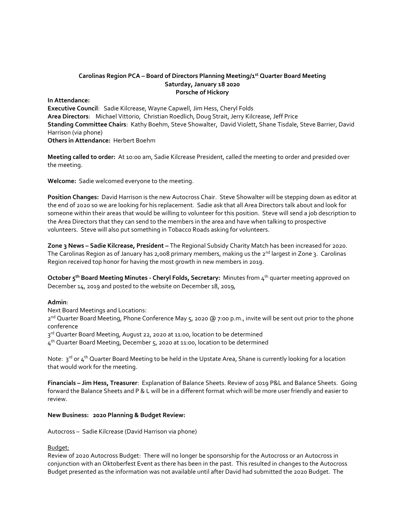#### **Carolinas Region PCA – Board of Directors Planning Meeting/1st Quarter Board Meeting Saturday, January 18 2020 Porsche of Hickory**

**In Attendance: Executive Council**: Sadie Kilcrease, Wayne Capwell, Jim Hess, Cheryl Folds **Area Directors**: Michael Vittorio, Christian Roedlich, Doug Strait, Jerry Kilcrease, Jeff Price **Standing Committee Chairs**: Kathy Boehm, Steve Showalter, David Violett, Shane Tisdale, Steve Barrier, David Harrison (via phone) **Others in Attendance:** Herbert Boehm

**Meeting called to order:** At 10:00 am, Sadie Kilcrease President, called the meeting to order and presided over the meeting.

**Welcome:** Sadie welcomed everyone to the meeting.

**Position Changes:** David Harrison is the new Autocross Chair. Steve Showalter will be stepping down as editor at the end of 2020 so we are looking for his replacement. Sadie ask that all Area Directors talk about and look for someone within their areas that would be willing to volunteer for this position. Steve will send a job description to the Area Directors that they can send to the members in the area and have when talking to prospective volunteers. Steve will also put something in Tobacco Roads asking for volunteers.

**Zone 3 News – Sadie Kilcrease, President –** The Regional Subsidy Charity Match has been increased for 2020. The Carolinas Region as of January has 2,008 primary members, making us the 2<sup>nd</sup> largest in Zone 3. Carolinas Region received top honor for having the most growth in new members in 2019.

**October 5<sup>th</sup> Board Meeting Minutes - Cheryl Folds, Secretary: Minutes from 4<sup>th</sup> quarter meeting approved on** December 14, 2019 and posted to the website on December 18, 2019,

### **Admin**:

Next Board Meetings and Locations:

2<sup>nd</sup> Quarter Board Meeting, Phone Conference May 5, 2020 @ 7:00 p.m., invite will be sent out prior to the phone conference

3<sup>rd</sup> Quarter Board Meeting, August 22, 2020 at 11:00, location to be determined

 $4^{\text{th}}$  Quarter Board Meeting, December 5, 2020 at 11:00, location to be determined

Note:  $3^{rd}$  or  $4^{th}$  Quarter Board Meeting to be held in the Upstate Area, Shane is currently looking for a location that would work for the meeting.

**Financials – Jim Hess, Treasurer**: Explanation of Balance Sheets. Review of 2019 P&L and Balance Sheets. Going forward the Balance Sheets and P & L will be in a different format which will be more user friendly and easier to review.

#### **New Business: 2020 Planning & Budget Review:**

Autocross – Sadie Kilcrease (David Harrison via phone)

### Budget:

Review of 2020 Autocross Budget: There will no longer be sponsorship for the Autocross or an Autocross in conjunction with an Oktoberfest Event as there has been in the past. This resulted in changes to the Autocross Budget presented as the information was not available until after David had submitted the 2020 Budget. The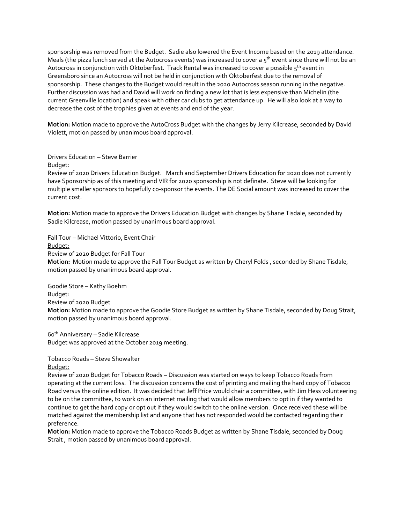sponsorship was removed from the Budget. Sadie also lowered the Event Income based on the 2019 attendance. Meals (the pizza lunch served at the Autocross events) was increased to cover a  $5<sup>th</sup>$  event since there will not be an Autocross in conjunction with Oktoberfest. Track Rental was increased to cover a possible 5<sup>th</sup> event in Greensboro since an Autocross will not be held in conjunction with Oktoberfest due to the removal of sponsorship. These changes to the Budget would result in the 2020 Autocross season running in the negative. Further discussion was had and David will work on finding a new lot that is less expensive than Michelin (the current Greenville location) and speak with other car clubs to get attendance up. He will also look at a way to decrease the cost of the trophies given at events and end of the year.

**Motion:** Motion made to approve the AutoCross Budget with the changes by Jerry Kilcrease, seconded by David Violett, motion passed by unanimous board approval.

### Drivers Education – Steve Barrier

#### Budget:

Review of 2020 Drivers Education Budget. March and September Drivers Education for 2020 does not currently have Sponsorship as of this meeting and VIR for 2020 sponsorship is not definate. Steve will be looking for multiple smaller sponsors to hopefully co-sponsor the events. The DE Social amount was increased to cover the current cost.

**Motion:** Motion made to approve the Drivers Education Budget with changes by Shane Tisdale, seconded by Sadie Kilcrease, motion passed by unanimous board approval.

Fall Tour – Michael Vittorio, Event Chair

### Budget:

Review of 2020 Budget for Fall Tour

**Motion:** Motion made to approve the Fall Tour Budget as written by Cheryl Folds , seconded by Shane Tisdale, motion passed by unanimous board approval.

Goodie Store – Kathy Boehm Budget: Review of 2020 Budget

**Motion:** Motion made to approve the Goodie Store Budget as written by Shane Tisdale, seconded by Doug Strait, motion passed by unanimous board approval.

60th Anniversary – Sadie Kilcrease Budget was approved at the October 2019 meeting.

## Tobacco Roads – Steve Showalter

Budget:

Review of 2020 Budget for Tobacco Roads – Discussion was started on ways to keep Tobacco Roads from operating at the current loss. The discussion concerns the cost of printing and mailing the hard copy of Tobacco Road versus the online edition. It was decided that Jeff Price would chair a committee, with Jim Hess volunteering to be on the committee, to work on an internet mailing that would allow members to opt in if they wanted to continue to get the hard copy or opt out if they would switch to the online version. Once received these will be matched against the membership list and anyone that has not responded would be contacted regarding their preference.

**Motion:** Motion made to approve the Tobacco Roads Budget as written by Shane Tisdale, seconded by Doug Strait , motion passed by unanimous board approval.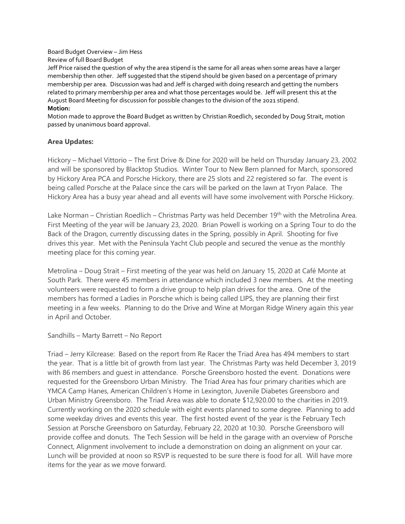Board Budget Overview – Jim Hess Review of full Board Budget

Jeff Price raised the question of why the area stipend is the same for all areas when some areas have a larger membership then other. Jeff suggested that the stipend should be given based on a percentage of primary membership per area. Discussion was had and Jeff is charged with doing research and getting the numbers related to primary membership per area and what those percentages would be. Jeff will present this at the August Board Meeting for discussion for possible changes to the division of the 2021 stipend. **Motion:**

# Motion made to approve the Board Budget as written by Christian Roedlich, seconded by Doug Strait, motion passed by unanimous board approval.

# **Area Updates:**

Hickory – Michael Vittorio – The first Drive & Dine for 2020 will be held on Thursday January 23, 2002 and will be sponsored by Blacktop Studios. Winter Tour to New Bern planned for March, sponsored by Hickory Area PCA and Porsche Hickory, there are 25 slots and 22 registered so far. The event is being called Porsche at the Palace since the cars will be parked on the lawn at Tryon Palace. The Hickory Area has a busy year ahead and all events will have some involvement with Porsche Hickory.

Lake Norman – Christian Roedlich – Christmas Party was held December 19<sup>th</sup> with the Metrolina Area. First Meeting of the year will be January 23, 2020. Brian Powell is working on a Spring Tour to do the Back of the Dragon, currently discussing dates in the Spring, possibly in April. Shooting for five drives this year. Met with the Peninsula Yacht Club people and secured the venue as the monthly meeting place for this coming year.

Metrolina – Doug Strait – First meeting of the year was held on January 15, 2020 at Café Monte at South Park. There were 45 members in attendance which included 3 new members. At the meeting volunteers were requested to form a drive group to help plan drives for the area. One of the members has formed a Ladies in Porsche which is being called LIPS, they are planning their first meeting in a few weeks. Planning to do the Drive and Wine at Morgan Ridge Winery again this year in April and October.

Sandhills – Marty Barrett – No Report

Triad – Jerry Kilcrease: Based on the report from Re Racer the Triad Area has 494 members to start the year. That is a little bit of growth from last year. The Christmas Party was held December 3, 2019 with 86 members and guest in attendance. Porsche Greensboro hosted the event. Donations were requested for the Greensboro Urban Ministry. The Triad Area has four primary charities which are YMCA Camp Hanes, American Children's Home in Lexington, Juvenile Diabetes Greensboro and Urban Ministry Greensboro. The Triad Area was able to donate \$12,920.00 to the charities in 2019. Currently working on the 2020 schedule with eight events planned to some degree. Planning to add some weekday drives and events this year. The first hosted event of the year is the February Tech Session at Porsche Greensboro on Saturday, February 22, 2020 at 10:30. Porsche Greensboro will provide coffee and donuts. The Tech Session will be held in the garage with an overview of Porsche Connect, Alignment involvement to include a demonstration on doing an alignment on your car. Lunch will be provided at noon so RSVP is requested to be sure there is food for all. Will have more items for the year as we move forward.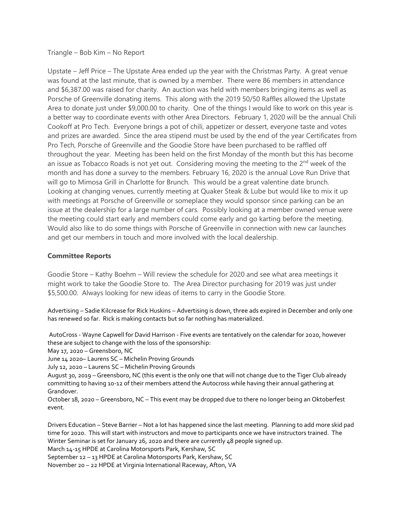Triangle – Bob Kim – No Report

Upstate – Jeff Price – The Upstate Area ended up the year with the Christmas Party. A great venue was found at the last minute, that is owned by a member. There were 86 members in attendance and \$6,387.00 was raised for charity. An auction was held with members bringing items as well as Porsche of Greenville donating items. This along with the 2019 50/50 Raffles allowed the Upstate Area to donate just under \$9,000.00 to charity. One of the things I would like to work on this year is a better way to coordinate events with other Area Directors. February 1, 2020 will be the annual Chili Cookoff at Pro Tech. Everyone brings a pot of chili, appetizer or dessert, everyone taste and votes and prizes are awarded. Since the area stipend must be used by the end of the year Certificates from Pro Tech, Porsche of Greenville and the Goodie Store have been purchased to be raffled off throughout the year. Meeting has been held on the first Monday of the month but this has become an issue as Tobacco Roads is not yet out. Considering moving the meeting to the 2<sup>nd</sup> week of the month and has done a survey to the members. February 16, 2020 is the annual Love Run Drive that will go to Mimosa Grill in Charlotte for Brunch. This would be a great valentine date brunch. Looking at changing venues, currently meeting at Quaker Steak & Lube but would like to mix it up with meetings at Porsche of Greenville or someplace they would sponsor since parking can be an issue at the dealership for a large number of cars. Possibly looking at a member owned venue were the meeting could start early and members could come early and go karting before the meeting. Would also like to do some things with Porsche of Greenville in connection with new car launches and get our members in touch and more involved with the local dealership.

## **Committee Reports**

Goodie Store – Kathy Boehm – Will review the schedule for 2020 and see what area meetings it might work to take the Goodie Store to. The Area Director purchasing for 2019 was just under \$5,500.00. Always looking for new ideas of items to carry in the Goodie Store.

Advertising – Sadie Kilcrease for Rick Huskins – Advertising is down, three ads expired in December and only one has renewed so far. Rick is making contacts but so far nothing has materialized.

AutoCross - Wayne Capwell for David Harrison - Five events are tentatively on the calendar for 2020, however these are subject to change with the loss of the sponsorship:

May 17, 2020 – Greensboro, NC

June 14 2020– Laurens SC – Michelin Proving Grounds

July 12, 2020 – Laurens SC – Michelin Proving Grounds

August 30, 2019 – Greensboro, NC (this event is the only one that will not change due to the Tiger Club already committing to having 10-12 of their members attend the Autocross while having their annual gathering at Grandover.

October 18, 2020 – Greensboro, NC – This event may be dropped due to there no longer being an Oktoberfest event.

Drivers Education – Steve Barrier – Not a lot has happened since the last meeting. Planning to add more skid pad time for 2020. This will start with instructors and move to participants once we have instructors trained. The Winter Seminar is set for January 26, 2020 and there are currently 48 people signed up.

March 14-15 HPDE at Carolina Motorsports Park, Kershaw, SC

September 12 – 13 HPDE at Carolina Motorsports Park, Kershaw, SC

November 20 – 22 HPDE at Virginia International Raceway, Afton, VA